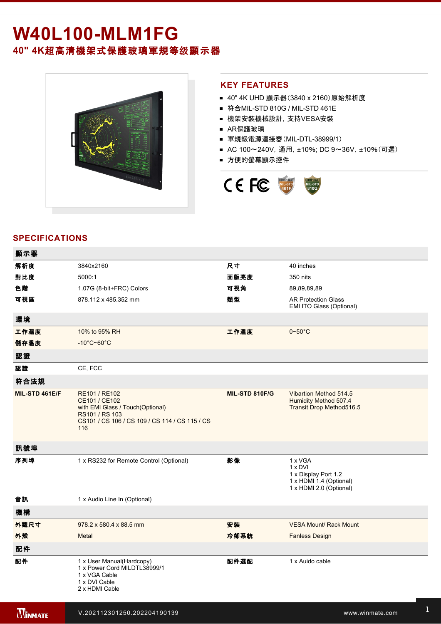# **W40L100-MLM1FG 40" 4K**超高清機架式保護玻璃軍規等级顯示器



#### **KEY FEATURES**

- 40" 4K UHD 顯示器(3840 x 2160) 原始解析度
- 符合MIL-STD 810G / MIL-STD 461E
- 機架安裝機械設計, 支持VESA安裝
- AR保護玻璃
- 軍規級電源連接器(MIL-DTL-38999/1)
- AC 100~240V, 通用, ±10%; DC 9~36V, ±10%(可選)
- 方便的螢幕顯示控件



### **SPECIFICATIONS**

| 顯示器            |                                                                                                                                               |                |                                                                                                  |
|----------------|-----------------------------------------------------------------------------------------------------------------------------------------------|----------------|--------------------------------------------------------------------------------------------------|
| 解析度            | 3840x2160                                                                                                                                     | 尺寸             | 40 inches                                                                                        |
| 對比度            | 5000:1                                                                                                                                        | 面版亮度           | 350 nits                                                                                         |
| 色階             | 1.07G (8-bit+FRC) Colors                                                                                                                      | 可視角            | 89,89,89,89                                                                                      |
| 可視區            | 878.112 x 485.352 mm                                                                                                                          | 類型             | <b>AR Protection Glass</b><br>EMI ITO Glass (Optional)                                           |
| 環境             |                                                                                                                                               |                |                                                                                                  |
| 工作濕度           | 10% to 95% RH                                                                                                                                 | 工作溫度           | $0\nightharpoonup 50^\circ C$                                                                    |
| 儲存溫度           | $-10^{\circ}$ C~60 $^{\circ}$ C                                                                                                               |                |                                                                                                  |
| 認證             |                                                                                                                                               |                |                                                                                                  |
| 認證             | CE, FCC                                                                                                                                       |                |                                                                                                  |
| 符合法規           |                                                                                                                                               |                |                                                                                                  |
| MIL-STD 461E/F | RE101 / RE102<br>CE101 / CE102<br>with EMI Glass / Touch(Optional)<br>RS101 / RS 103<br>CS101 / CS 106 / CS 109 / CS 114 / CS 115 / CS<br>116 | MIL-STD 810F/G | Vibartion Method 514.5<br>Humidity Method 507.4<br>Transit Drop Method516.5                      |
| 訊號埠            |                                                                                                                                               |                |                                                                                                  |
| 序列埠            | 1 x RS232 for Remote Control (Optional)                                                                                                       | 影像             | 1 x VGA<br>1 x DVI<br>1 x Display Port 1.2<br>1 x HDMI 1.4 (Optional)<br>1 x HDMI 2.0 (Optional) |
| 音訊             | 1 x Audio Line In (Optional)                                                                                                                  |                |                                                                                                  |
| 機構             |                                                                                                                                               |                |                                                                                                  |
| 外觀尺寸           | 978.2 x 580.4 x 88.5 mm                                                                                                                       | 安装             | <b>VESA Mount/ Rack Mount</b>                                                                    |
| 外殼             | <b>Metal</b>                                                                                                                                  | 冷卻系統           | <b>Fanless Design</b>                                                                            |
| 配件             |                                                                                                                                               |                |                                                                                                  |
| 配件             | 1 x User Manual(Hardcopy)<br>1 x Power Cord MILDTL38999/1<br>1 x VGA Cable<br>1 x DVI Cable<br>2 x HDMI Cable                                 | 配件選配           | 1 x Auido cable                                                                                  |

電源